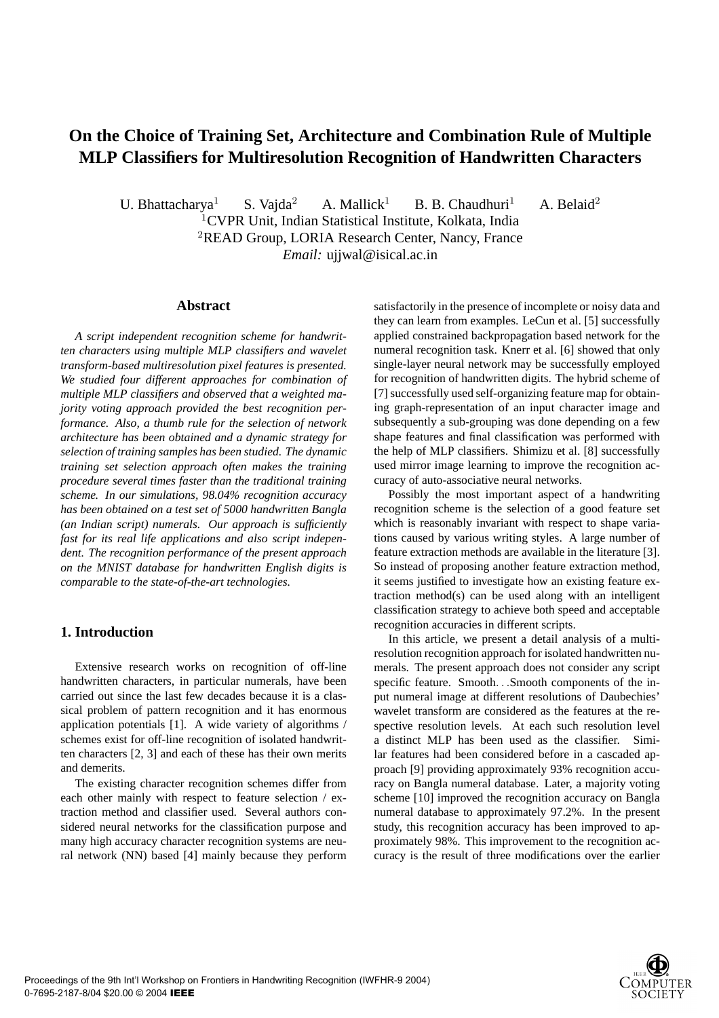# **On the Choice of Training Set, Architecture and Combination Rule of Multiple MLP Classifiers for Multiresolution Recognition of Handwritten Characters**

U. Bhattacharya<sup>1</sup> S. Vajda<sup>2</sup> A. Mallick<sup>1</sup> B. B. Chaudhuri<sup>1</sup> A. Belaid<sup>2</sup> <sup>1</sup>CVPR Unit, Indian Statistical Institute, Kolkata, India <sup>2</sup>READ Group, LORIA Research Center, Nancy, France

*Email:* ujjwal@isical.ac.in

# **Abstract**

*A script independent recognition scheme for handwritten characters using multiple MLP classifiers and wavelet transform-based multiresolution pixel features is presented. We studied four different approaches for combination of multiple MLP classifiers and observed that a weighted majority voting approach provided the best recognition performance. Also, a thumb rule for the selection of network architecture has been obtained and a dynamic strategy for selection of training samples has been studied. The dynamic training set selection approach often makes the training procedure several times faster than the traditional training scheme. In our simulations, 98.04% recognition accuracy has been obtained on a test set of 5000 handwritten Bangla (an Indian script) numerals. Our approach is sufficiently fast for its real life applications and also script independent. The recognition performance of the present approach on the MNIST database for handwritten English digits is comparable to the state-of-the-art technologies.*

# **1. Introduction**

Extensive research works on recognition of off-line handwritten characters, in particular numerals, have been carried out since the last few decades because it is a classical problem of pattern recognition and it has enormous application potentials [1]. A wide variety of algorithms / schemes exist for off-line recognition of isolated handwritten characters [2, 3] and each of these has their own merits and demerits.

The existing character recognition schemes differ from each other mainly with respect to feature selection / extraction method and classifier used. Several authors considered neural networks for the classification purpose and many high accuracy character recognition systems are neural network (NN) based [4] mainly because they perform satisfactorily in the presence of incomplete or noisy data and they can learn from examples. LeCun et al. [5] successfully applied constrained backpropagation based network for the numeral recognition task. Knerr et al. [6] showed that only single-layer neural network may be successfully employed for recognition of handwritten digits. The hybrid scheme of [7] successfully used self-organizing feature map for obtaining graph-representation of an input character image and subsequently a sub-grouping was done depending on a few shape features and final classification was performed with the help of MLP classifiers. Shimizu et al. [8] successfully used mirror image learning to improve the recognition accuracy of auto-associative neural networks.

Possibly the most important aspect of a handwriting recognition scheme is the selection of a good feature set which is reasonably invariant with respect to shape variations caused by various writing styles. A large number of feature extraction methods are available in the literature [3]. So instead of proposing another feature extraction method, it seems justified to investigate how an existing feature extraction method(s) can be used along with an intelligent classification strategy to achieve both speed and acceptable recognition accuracies in different scripts.

In this article, we present a detail analysis of a multiresolution recognition approach for isolated handwritten numerals. The present approach does not consider any script specific feature. Smooth. . .Smooth components of the input numeral image at different resolutions of Daubechies' wavelet transform are considered as the features at the respective resolution levels. At each such resolution level a distinct MLP has been used as the classifier. Similar features had been considered before in a cascaded approach [9] providing approximately 93% recognition accuracy on Bangla numeral database. Later, a majority voting scheme [10] improved the recognition accuracy on Bangla numeral database to approximately 97.2%. In the present study, this recognition accuracy has been improved to approximately 98%. This improvement to the recognition accuracy is the result of three modifications over the earlier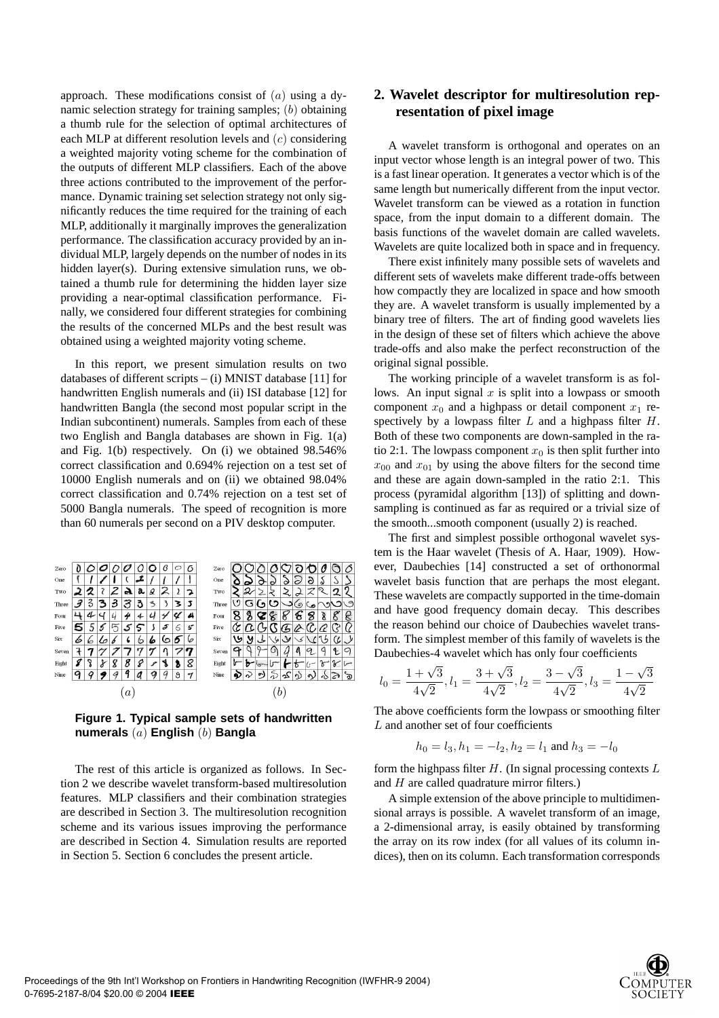approach. These modifications consist of  $(a)$  using a dynamic selection strategy for training samples; (b) obtaining a thumb rule for the selection of optimal architectures of each MLP at different resolution levels and (c) considering a weighted majority voting scheme for the combination of the outputs of different MLP classifiers. Each of the above three actions contributed to the improvement of the performance. Dynamic training set selection strategy not only significantly reduces the time required for the training of each MLP, additionally it marginally improves the generalization performance. The classification accuracy provided by an individual MLP, largely depends on the number of nodes in its hidden layer(s). During extensive simulation runs, we obtained a thumb rule for determining the hidden layer size providing a near-optimal classification performance. Finally, we considered four different strategies for combining the results of the concerned MLPs and the best result was obtained using a weighted majority voting scheme.

In this report, we present simulation results on two databases of different scripts – (i) MNIST database [11] for handwritten English numerals and (ii) ISI database [12] for handwritten Bangla (the second most popular script in the Indian subcontinent) numerals. Samples from each of these two English and Bangla databases are shown in Fig. 1(a) and Fig. 1(b) respectively. On (i) we obtained 98.546% correct classification and 0.694% rejection on a test set of 10000 English numerals and on (ii) we obtained 98.04% correct classification and 0.74% rejection on a test set of 5000 Bangla numerals. The speed of recognition is more than 60 numerals per second on a PIV desktop computer.

| Zero  |                          |   |    |   |   |   |    | ٬۱     | C | ∩ | Zero  |     |    |        |    |   |          |   |               |                          |         |
|-------|--------------------------|---|----|---|---|---|----|--------|---|---|-------|-----|----|--------|----|---|----------|---|---------------|--------------------------|---------|
| One   |                          |   |    |   |   |   |    |        |   |   | One   |     |    |        | ∘  | Ö |          | 2 | Q             | w                        |         |
| Two   |                          | ク | 7  | 2 | A | a | Ձ  | 2      |   |   | Two   |     | 2  |        |    |   |          |   | ິ             | 2                        | ი       |
| Three | $\overline{\mathcal{L}}$ | 3 | 3  | 3 | 3 | ð | 3  |        | 3 |   | Three |     | c٠ |        | ۰. |   | $\sigma$ |   |               |                          | $\circ$ |
| Four  | Ł1.                      | u |    |   | 4 | s |    |        | υ | A | Four  |     | ۶  |        | n  | n | n        | 8 | 8             | $\overline{\mathcal{E}}$ | ę       |
| Five  | 5                        | 5 | 5  | 厅 | 5 | 5 |    | 5      | 6 | 5 | Five  |     |    |        |    |   |          |   |               |                          |         |
| Six   | 6                        | 6 | ما |   |   | ь | íо | Ō      | o |   | Six   | ۱'n | У  |        | w  | V |          |   |               |                          |         |
| Seven | 7                        |   |    |   |   | n | 7  |        |   |   | Seven |     |    |        |    |   | D        | c | ↵             | Ł                        | c       |
| Eight | я                        | δ | r  | 8 | 8 | 8 | 8  | d<br>ъ | ъ | 8 | Eight |     | ×  |        |    |   | n        |   | $\mathcal{F}$ | V                        | $\sim$  |
| Nine  | о                        |   | ×  |   | G |   |    |        | 8 | 9 | Nine  |     |    | $\sim$ |    |   |          |   |               |                          | ร       |
|       | $\alpha$                 |   |    |   |   |   |    |        |   |   |       |     |    |        |    |   |          |   |               |                          |         |

**Figure 1. Typical sample sets of handwritten numerals** (a) **English** (b) **Bangla**

The rest of this article is organized as follows. In Section 2 we describe wavelet transform-based multiresolution features. MLP classifiers and their combination strategies are described in Section 3. The multiresolution recognition scheme and its various issues improving the performance are described in Section 4. Simulation results are reported in Section 5. Section 6 concludes the present article.

# **2. Wavelet descriptor for multiresolution representation of pixel image**

A wavelet transform is orthogonal and operates on an input vector whose length is an integral power of two. This is a fast linear operation. It generates a vector which is of the same length but numerically different from the input vector. Wavelet transform can be viewed as a rotation in function space, from the input domain to a different domain. The basis functions of the wavelet domain are called wavelets. Wavelets are quite localized both in space and in frequency.

There exist infinitely many possible sets of wavelets and different sets of wavelets make different trade-offs between how compactly they are localized in space and how smooth they are. A wavelet transform is usually implemented by a binary tree of filters. The art of finding good wavelets lies in the design of these set of filters which achieve the above trade-offs and also make the perfect reconstruction of the original signal possible.

The working principle of a wavelet transform is as follows. An input signal  $x$  is split into a lowpass or smooth component  $x_0$  and a highpass or detail component  $x_1$  respectively by a lowpass filter  $L$  and a highpass filter  $H$ . Both of these two components are down-sampled in the ratio 2:1. The lowpass component  $x_0$  is then split further into  $x_{00}$  and  $x_{01}$  by using the above filters for the second time and these are again down-sampled in the ratio 2:1. This process (pyramidal algorithm [13]) of splitting and downsampling is continued as far as required or a trivial size of the smooth...smooth component (usually 2) is reached.

The first and simplest possible orthogonal wavelet system is the Haar wavelet (Thesis of A. Haar, 1909). However, Daubechies [14] constructed a set of orthonormal wavelet basis function that are perhaps the most elegant. These wavelets are compactly supported in the time-domain and have good frequency domain decay. This describes the reason behind our choice of Daubechies wavelet transform. The simplest member of this family of wavelets is the Daubechies-4 wavelet which has only four coefficients

$$
l_0 = \frac{1+\sqrt{3}}{4\sqrt{2}}, l_1 = \frac{3+\sqrt{3}}{4\sqrt{2}}, l_2 = \frac{3-\sqrt{3}}{4\sqrt{2}}, l_3 = \frac{1-\sqrt{3}}{4\sqrt{2}}
$$

The above coefficients form the lowpass or smoothing filter  $L$  and another set of four coefficients

$$
h_0 = l_3, h_1 = -l_2, h_2 = l_1 \text{ and } h_3 = -l_0
$$

form the highpass filter  $H$ . (In signal processing contexts  $L$ and  $H$  are called quadrature mirror filters.)

A simple extension of the above principle to multidimensional arrays is possible. A wavelet transform of an image, a 2-dimensional array, is easily obtained by transforming the array on its row index (for all values of its column indices), then on its column. Each transformation corresponds

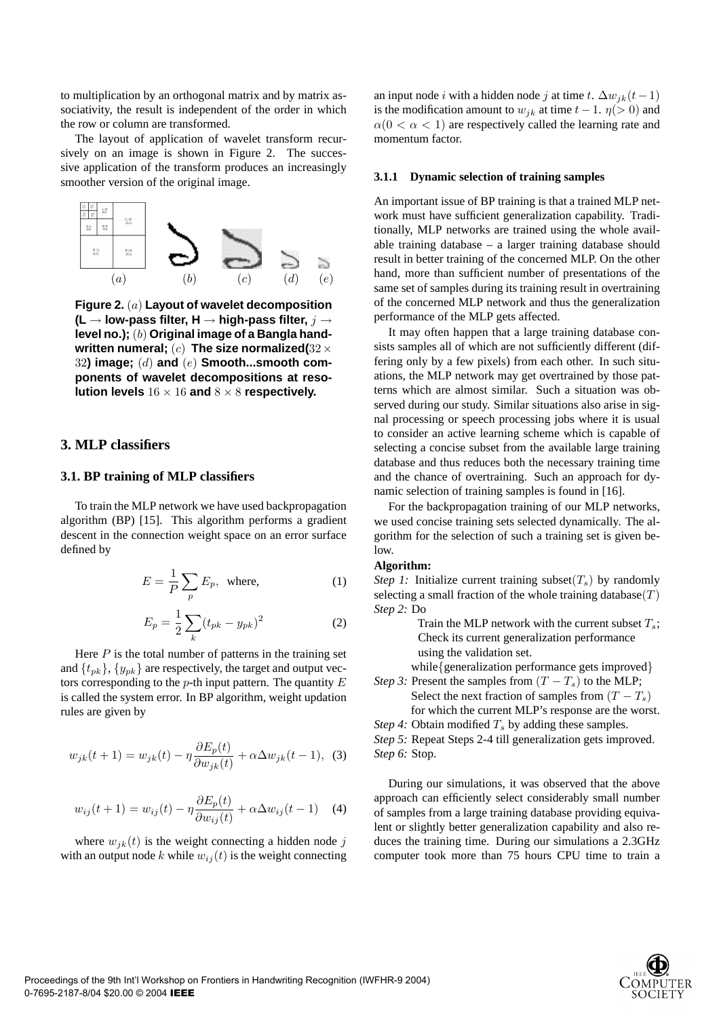to multiplication by an orthogonal matrix and by matrix associativity, the result is independent of the order in which the row or column are transformed.

The layout of application of wavelet transform recursively on an image is shown in Figure 2. The successive application of the transform produces an increasingly smoother version of the original image.



**Figure 2.** (a) **Layout of wavelet decomposition (L** → **low-pass filter, H** → **high-pass filter,** j → **level no.);** (b) **Original image of a Bangla handwritten numeral;** (c) **The size normalized(**32× 32**) image;** (d) **and** (e) **Smooth...smooth components of wavelet decompositions at resolution levels** 16 × 16 **and** 8 × 8 **respectively.**

# **3. MLP classifiers**

# **3.1. BP training of MLP classifiers**

To train the MLP network we have used backpropagation algorithm (BP) [15]. This algorithm performs a gradient descent in the connection weight space on an error surface defined by

$$
E = \frac{1}{P} \sum_{p} E_p, \text{ where,}
$$
 (1)

$$
E_p = \frac{1}{2} \sum_k (t_{pk} - y_{pk})^2
$$
 (2)

Here  $P$  is the total number of patterns in the training set and  $\{t_{pk}\}, \{y_{pk}\}\$  are respectively, the target and output vectors corresponding to the  $p$ -th input pattern. The quantity  $E$ is called the system error. In BP algorithm, weight updation rules are given by

$$
w_{jk}(t+1) = w_{jk}(t) - \eta \frac{\partial E_p(t)}{\partial w_{jk}(t)} + \alpha \Delta w_{jk}(t-1), \tag{3}
$$

$$
w_{ij}(t+1) = w_{ij}(t) - \eta \frac{\partial E_p(t)}{\partial w_{ij}(t)} + \alpha \Delta w_{ij}(t-1)
$$
 (4)

where  $w_{ik}(t)$  is the weight connecting a hidden node j with an output node k while  $w_{ij}(t)$  is the weight connecting an input node *i* with a hidden node *j* at time t.  $\Delta w_{jk}(t-1)$ is the modification amount to  $w_{jk}$  at time  $t - 1$ .  $\eta$ (> 0) and  $\alpha(0 < \alpha < 1)$  are respectively called the learning rate and momentum factor.

#### **3.1.1 Dynamic selection of training samples**

An important issue of BP training is that a trained MLP network must have sufficient generalization capability. Traditionally, MLP networks are trained using the whole available training database – a larger training database should result in better training of the concerned MLP. On the other hand, more than sufficient number of presentations of the same set of samples during its training result in overtraining of the concerned MLP network and thus the generalization performance of the MLP gets affected.

It may often happen that a large training database consists samples all of which are not sufficiently different (differing only by a few pixels) from each other. In such situations, the MLP network may get overtrained by those patterns which are almost similar. Such a situation was observed during our study. Similar situations also arise in signal processing or speech processing jobs where it is usual to consider an active learning scheme which is capable of selecting a concise subset from the available large training database and thus reduces both the necessary training time and the chance of overtraining. Such an approach for dynamic selection of training samples is found in [16].

For the backpropagation training of our MLP networks, we used concise training sets selected dynamically. The algorithm for the selection of such a training set is given below.

#### **Algorithm:**

*Step 1:* Initialize current training subset $(T_s)$  by randomly selecting a small fraction of the whole training database $(T)$ *Step 2:* Do

> Train the MLP network with the current subset  $T_s$ ; Check its current generalization performance using the validation set.

while{generalization performance gets improved}

*Step 3:* Present the samples from  $(T - T_s)$  to the MLP; Select the next fraction of samples from  $(T - T_s)$ for which the current MLP's response are the worst.

*Step 4:* Obtain modified  $T_s$  by adding these samples. *Step 5:* Repeat Steps 2-4 till generalization gets improved.

*Step 6:* Stop.

During our simulations, it was observed that the above approach can efficiently select considerably small number of samples from a large training database providing equivalent or slightly better generalization capability and also reduces the training time. During our simulations a 2.3GHz computer took more than 75 hours CPU time to train a

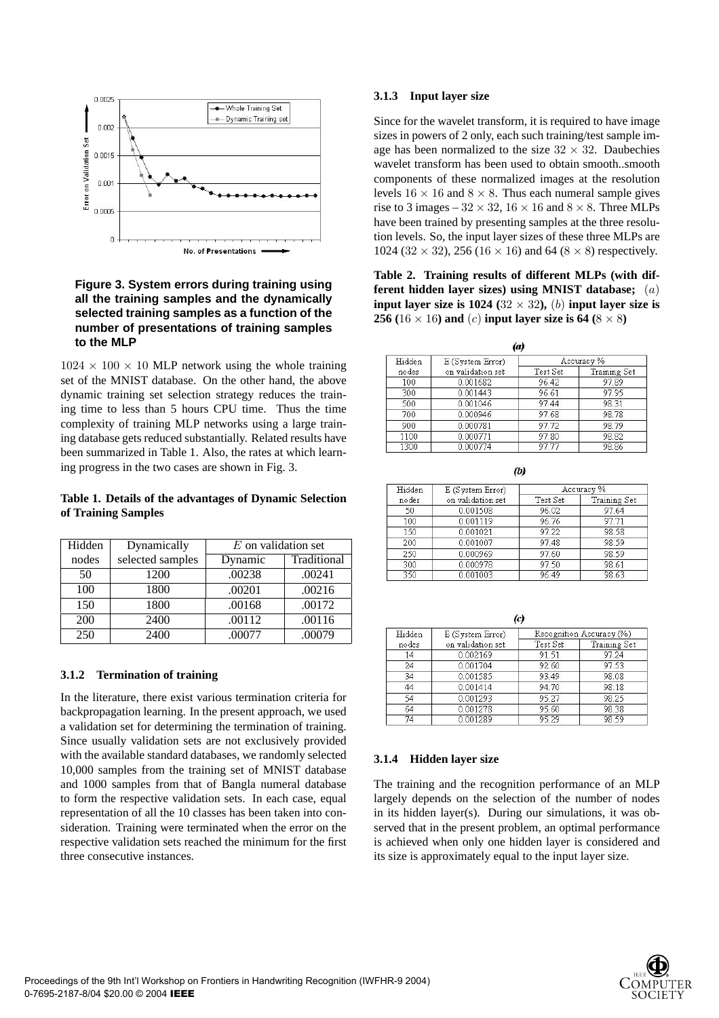

# **Figure 3. System errors during training using all the training samples and the dynamically selected training samples as a function of the number of presentations of training samples to the MLP**

 $1024 \times 100 \times 10$  MLP network using the whole training set of the MNIST database. On the other hand, the above dynamic training set selection strategy reduces the training time to less than 5 hours CPU time. Thus the time complexity of training MLP networks using a large training database gets reduced substantially. Related results have been summarized in Table 1. Also, the rates at which learning progress in the two cases are shown in Fig. 3.

#### **Table 1. Details of the advantages of Dynamic Selection of Training Samples**

| Hidden | Dynamically      | $E$ on validation set |             |  |  |  |
|--------|------------------|-----------------------|-------------|--|--|--|
| nodes  | selected samples | Dynamic               | Traditional |  |  |  |
| 50     | 1200             | .00238                | .00241      |  |  |  |
| 100    | 1800             | .00201                | .00216      |  |  |  |
| 150    | 1800             | .00168                | .00172      |  |  |  |
| 200    | 2400             | .00112                | .00116      |  |  |  |
| 250    | 2400             | .00077                | .00079      |  |  |  |

# **3.1.2 Termination of training**

In the literature, there exist various termination criteria for backpropagation learning. In the present approach, we used a validation set for determining the termination of training. Since usually validation sets are not exclusively provided with the available standard databases, we randomly selected 10,000 samples from the training set of MNIST database and 1000 samples from that of Bangla numeral database to form the respective validation sets. In each case, equal representation of all the 10 classes has been taken into consideration. Training were terminated when the error on the respective validation sets reached the minimum for the first three consecutive instances.

#### **3.1.3 Input layer size**

Since for the wavelet transform, it is required to have image sizes in powers of 2 only, each such training/test sample image has been normalized to the size  $32 \times 32$ . Daubechies wavelet transform has been used to obtain smooth..smooth components of these normalized images at the resolution levels  $16 \times 16$  and  $8 \times 8$ . Thus each numeral sample gives rise to 3 images –  $32 \times 32$ ,  $16 \times 16$  and  $8 \times 8$ . Three MLPs have been trained by presenting samples at the three resolution levels. So, the input layer sizes of these three MLPs are  $1024 (32 \times 32)$ , 256 (16  $\times$  16) and 64 (8  $\times$  8) respectively.

**Table 2. Training results of different MLPs (with different hidden layer sizes) using MNIST database;** (a) **input layer size is 1024** ( $32 \times 32$ ), (b) **input layer size is 256** (16  $\times$  16) and (c) **input layer size is 64** (8  $\times$  8)

| (a)    |                   |            |              |  |  |  |  |  |
|--------|-------------------|------------|--------------|--|--|--|--|--|
| Hidden | E (System Error)  | Accuracy % |              |  |  |  |  |  |
| nodes  | on validation set | Test Set   | Training Set |  |  |  |  |  |
| 100    | 0.001682          | 96.42      | 97.89        |  |  |  |  |  |
| 300    | 0.001443          | 96.61      | 97.95        |  |  |  |  |  |
| 500    | 0.001046          | 97.44      | 98.31        |  |  |  |  |  |
| 700    | 0.000946          | 97.68      | 98.78        |  |  |  |  |  |
| 900    | 0.000781          | 97.72      | 98.79        |  |  |  |  |  |
| 1100   | 0.000771          | 97.80      | 98.82        |  |  |  |  |  |
| 1300   | 0.000774          | 97.77      | 98.86        |  |  |  |  |  |

| Hidden | E (System Error)  | Accuracy % |              |  |  |  |
|--------|-------------------|------------|--------------|--|--|--|
| nodes  | on validation set | Test Set   | Training Set |  |  |  |
| 50     | 0.001508          | 96.02      | 97.64        |  |  |  |
| 100    | 0.001119          | 96.76      | 97.71        |  |  |  |
| 150    | 0.001021          | 97.22      | 98.58        |  |  |  |
| 200    | 0.001007          | 97.48      | 98.59        |  |  |  |
| 250    | 0.000969          | 97.60      | 98.59        |  |  |  |
| 300    | 0.000978          | 97.50      | 98.61        |  |  |  |
| 350    | 0.001003          | 96.49      | 98.63        |  |  |  |

 $(D)$ 

|        | (c)               |                          |              |  |  |  |  |
|--------|-------------------|--------------------------|--------------|--|--|--|--|
| Hidden | E (System Error)  | Recognition Accuracy (%) |              |  |  |  |  |
| nodes  | on validation set | Test Set                 | Training Set |  |  |  |  |
| 14     | 0.002169          | 91.51                    | 97.24        |  |  |  |  |
| 24     | 0.001704          | 92.60                    | 97.53        |  |  |  |  |
| 34     | 0.001585          | 93.49                    | 98.08        |  |  |  |  |
| 44     | 0.001414          | 94.70                    | 98.18        |  |  |  |  |
| 54     | 0.001293          | 95.27                    | 98.25        |  |  |  |  |
| 64     | 0.001278          | 95.60                    | 98.38        |  |  |  |  |
| 74     | 0.001289          | 95.29                    | 98.59        |  |  |  |  |

# **3.1.4 Hidden layer size**

The training and the recognition performance of an MLP largely depends on the selection of the number of nodes in its hidden layer(s). During our simulations, it was observed that in the present problem, an optimal performance is achieved when only one hidden layer is considered and its size is approximately equal to the input layer size.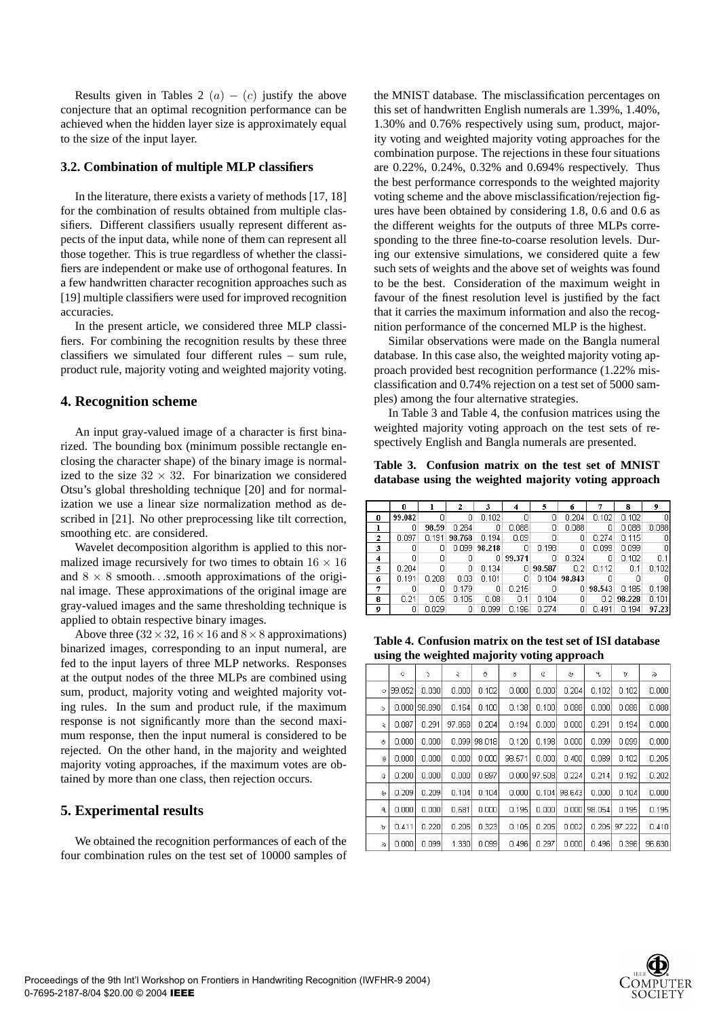Results given in Tables 2  $(a) - (c)$  justify the above conjecture that an optimal recognition performance can be achieved when the hidden layer size is approximately equal to the size of the input layer.

#### **3.2. Combination of multiple MLP classifiers**

In the literature, there exists a variety of methods [17, 18] for the combination of results obtained from multiple classifiers. Different classifiers usually represent different aspects of the input data, while none of them can represent all those together. This is true regardless of whether the classifiers are independent or make use of orthogonal features. In a few handwritten character recognition approaches such as [19] multiple classifiers were used for improved recognition accuracies.

In the present article, we considered three MLP classifiers. For combining the recognition results by these three classifiers we simulated four different rules – sum rule, product rule, majority voting and weighted majority voting.

#### **4. Recognition scheme**

An input gray-valued image of a character is first binarized. The bounding box (minimum possible rectangle enclosing the character shape) of the binary image is normalized to the size  $32 \times 32$ . For binarization we considered Otsu's global thresholding technique [20] and for normalization we use a linear size normalization method as described in [21]. No other preprocessing like tilt correction, smoothing etc. are considered.

Wavelet decomposition algorithm is applied to this normalized image recursively for two times to obtain  $16 \times 16$ and  $8 \times 8$  smooth. . .smooth approximations of the original image. These approximations of the original image are gray-valued images and the same thresholding technique is applied to obtain respective binary images.

Above three ( $32 \times 32$ ,  $16 \times 16$  and  $8 \times 8$  approximations) binarized images, corresponding to an input numeral, are fed to the input layers of three MLP networks. Responses at the output nodes of the three MLPs are combined using sum, product, majority voting and weighted majority voting rules. In the sum and product rule, if the maximum response is not significantly more than the second maximum response, then the input numeral is considered to be rejected. On the other hand, in the majority and weighted majority voting approaches, if the maximum votes are obtained by more than one class, then rejection occurs.

#### **5. Experimental results**

We obtained the recognition performances of each of the four combination rules on the test set of 10000 samples of the MNIST database. The misclassification percentages on this set of handwritten English numerals are 1.39%, 1.40%, 1.30% and 0.76% respectively using sum, product, majority voting and weighted majority voting approaches for the combination purpose. The rejections in these four situations are 0.22%, 0.24%, 0.32% and 0.694% respectively. Thus the best performance corresponds to the weighted majority voting scheme and the above misclassification/rejection figures have been obtained by considering 1.8, 0.6 and 0.6 as the different weights for the outputs of three MLPs corresponding to the three fine-to-coarse resolution levels. During our extensive simulations, we considered quite a few such sets of weights and the above set of weights was found to be the best. Consideration of the maximum weight in favour of the finest resolution level is justified by the fact that it carries the maximum information and also the recognition performance of the concerned MLP is the highest.

Similar observations were made on the Bangla numeral database. In this case also, the weighted majority voting approach provided best recognition performance (1.22% misclassification and 0.74% rejection on a test set of 5000 samples) among the four alternative strategies.

In Table 3 and Table 4, the confusion matrices using the weighted majority voting approach on the test sets of respectively English and Bangla numerals are presented.

**Table 3. Confusion matrix on the test set of MNIST database using the weighted majority voting approach**

|                     | n      |       | 2      | з            | 4      | 5      | 6              |        | 8      | 9     |
|---------------------|--------|-------|--------|--------------|--------|--------|----------------|--------|--------|-------|
| n                   | 99.082 |       | n      | 0.102        |        | 0      | 0.204          | 0.102  | 0.102  |       |
|                     | 0      | 98.59 | 0.264  | 0            | 0.088  | 0      | 0.088          | 0      | 0.088  | 0.088 |
| 2                   | 0.097  | 0.191 | 98.768 | 0.194        | 0.09   | 0      | 0              | 0.274  | 0.115  |       |
| 3                   | 0      | 0     |        | 0.099 98.218 | $\Box$ | 0.198  | 0              | 0.099  | 0.099  |       |
| $\overline{\bf{4}}$ | 0      | 0     | 0      | 0.           | 99.371 | 0      | 0.324          | Ω      | 0.102  | 0.1   |
| 5                   | 0.204  | 0     | 0      | 0.134        | - 0    | 98.587 | 0.2            | 0.112  | 0.1    | 0.102 |
| 6                   | 0.191  | 0.208 | 0.03   | 0.101        | 0      |        | $0.104$ 98.843 | - 0    | n      |       |
| 7                   | Ω      | 0     | 0.179  | 0            | 0.215  | 0      | 0              | 98.543 | 0.185  | 0.198 |
| 8                   | 0.21   | 0.05  | 0.105  | 0.08         | 0.1    | 0.104  | 0              | 0.2    | 98.228 | 0.101 |
| 9                   | 0      | 0.029 | 0      | 0.099        | 0.196  | 0.274  | ο              | 0.491  | 0.194  | 97.23 |

**Table 4. Confusion matrix on the test set of ISI database using the weighted majority voting approach**

|             | ٥      | S      | ź      | Ó      | 8      | Q      | ৬      | ٩      | b      | ă      |  |  |
|-------------|--------|--------|--------|--------|--------|--------|--------|--------|--------|--------|--|--|
| $\circ$     | 99.052 | 0.030  | 0.000  | 0.102  | 0.000  | 0.000  | 0.204  | 0.102  | 0.102  | 0.000  |  |  |
| ς           | 0.000  | 98.890 | 0.164  | 0.100  | 0.138  | 0.100  | 0.088  | 0.000  | 0.088  | 0.088  |  |  |
| $\lambda$   | 0.087  | 0.291  | 97.868 | 0.204  | 0.194  | 0.000  | 0.000  | 0.291  | 0.194  | 0.000  |  |  |
| O           | 0.000  | 0.000  | 0.099  | 98.018 | 0.120  | 0.198  | 0.000  | 0.099  | 0.099  | 0.000  |  |  |
| 8           | 0.000  | 0.000  | 0.000  | 0.000  | 98.571 | 0.000  | 0.400  | 0.089  | 0.102  | 0.205  |  |  |
| G           | 0.200  | 0.000  | 0.000  | 0.897  | 0.000  | 97.508 | 0.224  | 0.214  | 0.192  | 0.202  |  |  |
| راج         | 0.209  | 0.209  | 0.104  | 0.104  | 0.000  | 0.104  | 98.643 | 0.000  | 0.104  | 0.000  |  |  |
| ٩           | 0.000  | 0.000  | 0.681  | 0.000  | 0.195  | 0.000  | 0.000  | 98.054 | 0.195  | 0.195  |  |  |
| ь           | 0.411  | 0.220  | 0.205  | 0.323  | 0.105  | 0.205  | 0.002  | 0.205  | 97.222 | 0.410  |  |  |
| $\tilde{a}$ | 0.000  | 0.099  | 1.330  | 0.099  | 0.496  | 0.297  | 0.000  | 0.496  | 0.396  | 96.630 |  |  |